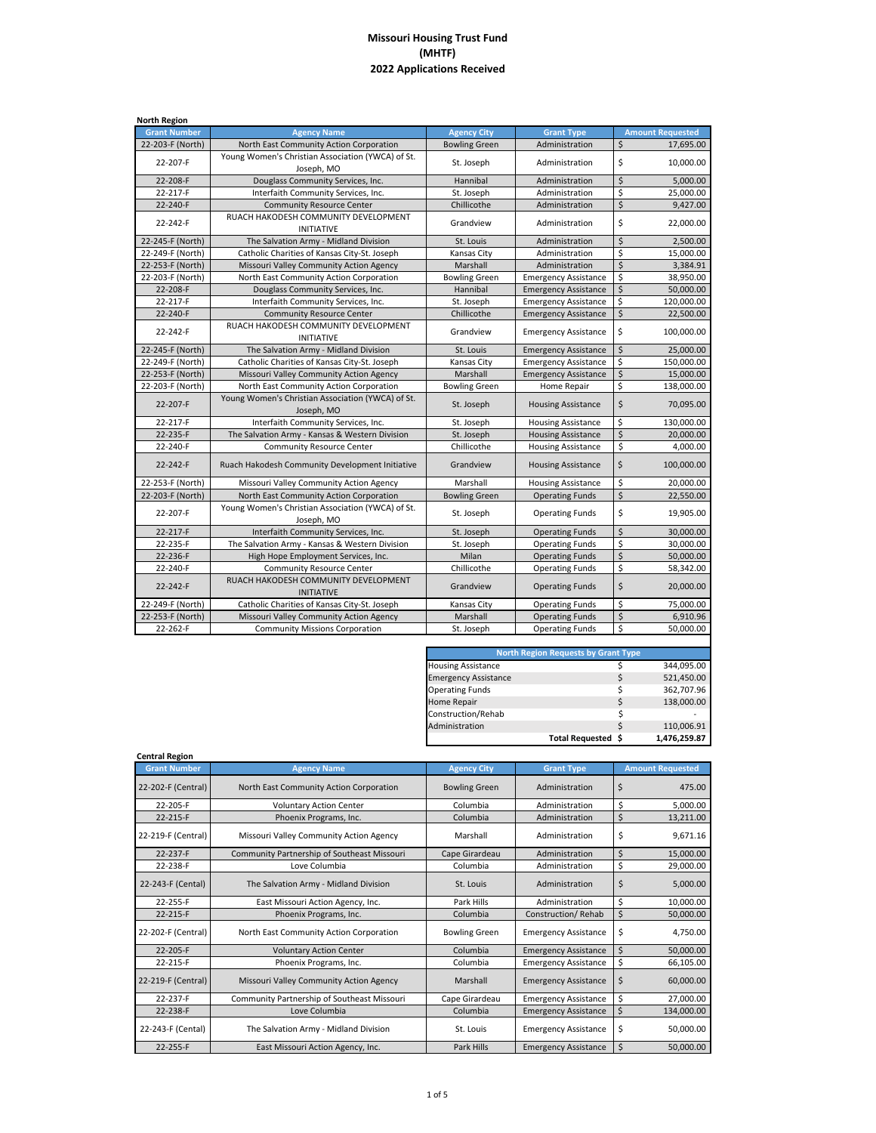| <b>Grant Number</b><br><b>Agency City</b><br><b>Amount Requested</b><br><b>Agency Name</b><br><b>Grant Type</b><br>$\zeta$<br>22-203-F (North)<br>North East Community Action Corporation<br><b>Bowling Green</b><br>Administration<br>17,695.00<br>Young Women's Christian Association (YWCA) of St.<br>\$<br>22-207-F<br>St. Joseph<br>10.000.00<br>Administration<br>Joseph, MO<br>\$<br>22-208-F<br>Douglass Community Services, Inc.<br>Hannibal<br>Administration<br>5,000.00<br>\$<br>22-217-F<br>Interfaith Community Services, Inc.<br>St. Joseph<br>Administration<br>\$<br>Chillicothe<br>22-240-F<br><b>Community Resource Center</b><br>Administration<br>RUACH HAKODESH COMMUNITY DEVELOPMENT<br>\$<br>22-242-F<br>Grandview<br>22,000.00<br>Administration<br><b>INITIATIVE</b><br>$\zeta$<br>22-245-F (North)<br>The Salvation Army - Midland Division<br>St. Louis<br>2,500.00<br>Administration<br>\$<br>22-249-F (North)<br>Catholic Charities of Kansas City-St. Joseph<br>Administration<br>15,000.00<br>Kansas City<br>$\mathsf{\hat{S}}$<br>Marshall<br>22-253-F (North)<br>Missouri Valley Community Action Agency<br>Administration<br>3,384.91<br>\$<br>22-203-F (North)<br>North East Community Action Corporation<br><b>Bowling Green</b><br>38,950.00<br><b>Emergency Assistance</b><br>\$<br>Hannibal<br>22-208-F<br>Douglass Community Services, Inc.<br><b>Emergency Assistance</b><br>\$<br>22-217-F<br>St. Joseph<br>120,000.00<br>Interfaith Community Services, Inc.<br><b>Emergency Assistance</b><br>$\overline{\mathsf{S}}$<br>22-240-F<br>Chillicothe<br><b>Community Resource Center</b><br><b>Emergency Assistance</b><br>RUACH HAKODESH COMMUNITY DEVELOPMENT<br>\$<br>22-242-F<br>Grandview<br><b>Emergency Assistance</b><br>100,000.00<br><b>INITIATIVE</b><br>$\mathsf{\dot{S}}$<br>22-245-F (North)<br>The Salvation Army - Midland Division<br>25,000.00<br>St. Louis<br><b>Emergency Assistance</b><br>\$<br>22-249-F (North)<br>Catholic Charities of Kansas City-St. Joseph<br>Kansas City<br><b>Emergency Assistance</b><br>\$<br>22-253-F (North)<br>Missouri Valley Community Action Agency<br>Marshall<br><b>Emergency Assistance</b><br>\$<br>North East Community Action Corporation<br>22-203-F (North)<br><b>Bowling Green</b><br>Home Repair<br>Young Women's Christian Association (YWCA) of St.<br>\$<br>22-207-F<br>70,095.00<br>St. Joseph<br><b>Housing Assistance</b><br>Joseph, MO<br>\$<br>Interfaith Community Services, Inc.<br>130,000.00<br>22-217-F<br>St. Joseph<br><b>Housing Assistance</b><br>$\dot{\mathsf{S}}$<br>22-235-F<br>St. Joseph<br>20,000.00<br>The Salvation Army - Kansas & Western Division<br><b>Housing Assistance</b><br>\$<br>Chillicothe<br>4,000.00<br>22-240-F<br><b>Community Resource Center</b><br><b>Housing Assistance</b><br>\$<br>22-242-F<br>Ruach Hakodesh Community Development Initiative<br>Grandview<br><b>Housing Assistance</b><br>100,000.00<br>\$<br>Marshall<br>22-253-F (North)<br>20,000.00<br>Missouri Valley Community Action Agency<br><b>Housing Assistance</b><br>\$<br>22-203-F (North)<br>North East Community Action Corporation<br><b>Bowling Green</b><br><b>Operating Funds</b><br>Young Women's Christian Association (YWCA) of St.<br>\$<br>22-207-F<br>19,905.00<br>St. Joseph<br><b>Operating Funds</b><br>Joseph, MO<br>$\overline{\mathsf{S}}$<br>22-217-F<br>Interfaith Community Services, Inc.<br>30,000.00<br>St. Joseph<br><b>Operating Funds</b><br>\$<br>22-235-F<br>The Salvation Army - Kansas & Western Division<br>St. Joseph<br><b>Operating Funds</b><br>\$<br>22-236-F<br>Milan<br>High Hope Employment Services, Inc.<br><b>Operating Funds</b><br>\$<br>22-240-F<br>Chillicothe<br><b>Community Resource Center</b><br><b>Operating Funds</b><br>RUACH HAKODESH COMMUNITY DEVELOPMENT<br>\$<br>22-242-F<br><b>Operating Funds</b><br>20,000.00<br>Grandview<br><b>INITIATIVE</b><br>\$<br>Catholic Charities of Kansas City-St. Joseph<br>22-249-F (North)<br>Kansas City<br><b>Operating Funds</b><br>75,000.00<br>$\mathsf{\hat{S}}$<br>22-253-F (North)<br>Missouri Valley Community Action Agency<br>Marshall<br><b>Operating Funds</b><br>\$<br>22-262-F<br><b>Community Missions Corporation</b><br><b>Operating Funds</b><br>St. Joseph | <b>North Region</b> |  |  |            |
|--------------------------------------------------------------------------------------------------------------------------------------------------------------------------------------------------------------------------------------------------------------------------------------------------------------------------------------------------------------------------------------------------------------------------------------------------------------------------------------------------------------------------------------------------------------------------------------------------------------------------------------------------------------------------------------------------------------------------------------------------------------------------------------------------------------------------------------------------------------------------------------------------------------------------------------------------------------------------------------------------------------------------------------------------------------------------------------------------------------------------------------------------------------------------------------------------------------------------------------------------------------------------------------------------------------------------------------------------------------------------------------------------------------------------------------------------------------------------------------------------------------------------------------------------------------------------------------------------------------------------------------------------------------------------------------------------------------------------------------------------------------------------------------------------------------------------------------------------------------------------------------------------------------------------------------------------------------------------------------------------------------------------------------------------------------------------------------------------------------------------------------------------------------------------------------------------------------------------------------------------------------------------------------------------------------------------------------------------------------------------------------------------------------------------------------------------------------------------------------------------------------------------------------------------------------------------------------------------------------------------------------------------------------------------------------------------------------------------------------------------------------------------------------------------------------------------------------------------------------------------------------------------------------------------------------------------------------------------------------------------------------------------------------------------------------------------------------------------------------------------------------------------------------------------------------------------------------------------------------------------------------------------------------------------------------------------------------------------------------------------------------------------------------------------------------------------------------------------------------------------------------------------------------------------------------------------------------------------------------------------------------------------------------------------------------------------------------------------------------------------------------------------------------------------------------------------------------------------------------------------------------------------------------------------------------------------------------------------------------------------------------------------------------------------------------------------------------------------------------------------------------------------------------------------------------------------------------------------------------------------------------------------------------------------------|---------------------|--|--|------------|
|                                                                                                                                                                                                                                                                                                                                                                                                                                                                                                                                                                                                                                                                                                                                                                                                                                                                                                                                                                                                                                                                                                                                                                                                                                                                                                                                                                                                                                                                                                                                                                                                                                                                                                                                                                                                                                                                                                                                                                                                                                                                                                                                                                                                                                                                                                                                                                                                                                                                                                                                                                                                                                                                                                                                                                                                                                                                                                                                                                                                                                                                                                                                                                                                                                                                                                                                                                                                                                                                                                                                                                                                                                                                                                                                                                                                                                                                                                                                                                                                                                                                                                                                                                                                                                                                                                        |                     |  |  |            |
|                                                                                                                                                                                                                                                                                                                                                                                                                                                                                                                                                                                                                                                                                                                                                                                                                                                                                                                                                                                                                                                                                                                                                                                                                                                                                                                                                                                                                                                                                                                                                                                                                                                                                                                                                                                                                                                                                                                                                                                                                                                                                                                                                                                                                                                                                                                                                                                                                                                                                                                                                                                                                                                                                                                                                                                                                                                                                                                                                                                                                                                                                                                                                                                                                                                                                                                                                                                                                                                                                                                                                                                                                                                                                                                                                                                                                                                                                                                                                                                                                                                                                                                                                                                                                                                                                                        |                     |  |  |            |
|                                                                                                                                                                                                                                                                                                                                                                                                                                                                                                                                                                                                                                                                                                                                                                                                                                                                                                                                                                                                                                                                                                                                                                                                                                                                                                                                                                                                                                                                                                                                                                                                                                                                                                                                                                                                                                                                                                                                                                                                                                                                                                                                                                                                                                                                                                                                                                                                                                                                                                                                                                                                                                                                                                                                                                                                                                                                                                                                                                                                                                                                                                                                                                                                                                                                                                                                                                                                                                                                                                                                                                                                                                                                                                                                                                                                                                                                                                                                                                                                                                                                                                                                                                                                                                                                                                        |                     |  |  |            |
|                                                                                                                                                                                                                                                                                                                                                                                                                                                                                                                                                                                                                                                                                                                                                                                                                                                                                                                                                                                                                                                                                                                                                                                                                                                                                                                                                                                                                                                                                                                                                                                                                                                                                                                                                                                                                                                                                                                                                                                                                                                                                                                                                                                                                                                                                                                                                                                                                                                                                                                                                                                                                                                                                                                                                                                                                                                                                                                                                                                                                                                                                                                                                                                                                                                                                                                                                                                                                                                                                                                                                                                                                                                                                                                                                                                                                                                                                                                                                                                                                                                                                                                                                                                                                                                                                                        |                     |  |  |            |
|                                                                                                                                                                                                                                                                                                                                                                                                                                                                                                                                                                                                                                                                                                                                                                                                                                                                                                                                                                                                                                                                                                                                                                                                                                                                                                                                                                                                                                                                                                                                                                                                                                                                                                                                                                                                                                                                                                                                                                                                                                                                                                                                                                                                                                                                                                                                                                                                                                                                                                                                                                                                                                                                                                                                                                                                                                                                                                                                                                                                                                                                                                                                                                                                                                                                                                                                                                                                                                                                                                                                                                                                                                                                                                                                                                                                                                                                                                                                                                                                                                                                                                                                                                                                                                                                                                        |                     |  |  | 25,000.00  |
|                                                                                                                                                                                                                                                                                                                                                                                                                                                                                                                                                                                                                                                                                                                                                                                                                                                                                                                                                                                                                                                                                                                                                                                                                                                                                                                                                                                                                                                                                                                                                                                                                                                                                                                                                                                                                                                                                                                                                                                                                                                                                                                                                                                                                                                                                                                                                                                                                                                                                                                                                                                                                                                                                                                                                                                                                                                                                                                                                                                                                                                                                                                                                                                                                                                                                                                                                                                                                                                                                                                                                                                                                                                                                                                                                                                                                                                                                                                                                                                                                                                                                                                                                                                                                                                                                                        |                     |  |  | 9,427.00   |
|                                                                                                                                                                                                                                                                                                                                                                                                                                                                                                                                                                                                                                                                                                                                                                                                                                                                                                                                                                                                                                                                                                                                                                                                                                                                                                                                                                                                                                                                                                                                                                                                                                                                                                                                                                                                                                                                                                                                                                                                                                                                                                                                                                                                                                                                                                                                                                                                                                                                                                                                                                                                                                                                                                                                                                                                                                                                                                                                                                                                                                                                                                                                                                                                                                                                                                                                                                                                                                                                                                                                                                                                                                                                                                                                                                                                                                                                                                                                                                                                                                                                                                                                                                                                                                                                                                        |                     |  |  |            |
|                                                                                                                                                                                                                                                                                                                                                                                                                                                                                                                                                                                                                                                                                                                                                                                                                                                                                                                                                                                                                                                                                                                                                                                                                                                                                                                                                                                                                                                                                                                                                                                                                                                                                                                                                                                                                                                                                                                                                                                                                                                                                                                                                                                                                                                                                                                                                                                                                                                                                                                                                                                                                                                                                                                                                                                                                                                                                                                                                                                                                                                                                                                                                                                                                                                                                                                                                                                                                                                                                                                                                                                                                                                                                                                                                                                                                                                                                                                                                                                                                                                                                                                                                                                                                                                                                                        |                     |  |  |            |
|                                                                                                                                                                                                                                                                                                                                                                                                                                                                                                                                                                                                                                                                                                                                                                                                                                                                                                                                                                                                                                                                                                                                                                                                                                                                                                                                                                                                                                                                                                                                                                                                                                                                                                                                                                                                                                                                                                                                                                                                                                                                                                                                                                                                                                                                                                                                                                                                                                                                                                                                                                                                                                                                                                                                                                                                                                                                                                                                                                                                                                                                                                                                                                                                                                                                                                                                                                                                                                                                                                                                                                                                                                                                                                                                                                                                                                                                                                                                                                                                                                                                                                                                                                                                                                                                                                        |                     |  |  |            |
|                                                                                                                                                                                                                                                                                                                                                                                                                                                                                                                                                                                                                                                                                                                                                                                                                                                                                                                                                                                                                                                                                                                                                                                                                                                                                                                                                                                                                                                                                                                                                                                                                                                                                                                                                                                                                                                                                                                                                                                                                                                                                                                                                                                                                                                                                                                                                                                                                                                                                                                                                                                                                                                                                                                                                                                                                                                                                                                                                                                                                                                                                                                                                                                                                                                                                                                                                                                                                                                                                                                                                                                                                                                                                                                                                                                                                                                                                                                                                                                                                                                                                                                                                                                                                                                                                                        |                     |  |  |            |
|                                                                                                                                                                                                                                                                                                                                                                                                                                                                                                                                                                                                                                                                                                                                                                                                                                                                                                                                                                                                                                                                                                                                                                                                                                                                                                                                                                                                                                                                                                                                                                                                                                                                                                                                                                                                                                                                                                                                                                                                                                                                                                                                                                                                                                                                                                                                                                                                                                                                                                                                                                                                                                                                                                                                                                                                                                                                                                                                                                                                                                                                                                                                                                                                                                                                                                                                                                                                                                                                                                                                                                                                                                                                                                                                                                                                                                                                                                                                                                                                                                                                                                                                                                                                                                                                                                        |                     |  |  |            |
|                                                                                                                                                                                                                                                                                                                                                                                                                                                                                                                                                                                                                                                                                                                                                                                                                                                                                                                                                                                                                                                                                                                                                                                                                                                                                                                                                                                                                                                                                                                                                                                                                                                                                                                                                                                                                                                                                                                                                                                                                                                                                                                                                                                                                                                                                                                                                                                                                                                                                                                                                                                                                                                                                                                                                                                                                                                                                                                                                                                                                                                                                                                                                                                                                                                                                                                                                                                                                                                                                                                                                                                                                                                                                                                                                                                                                                                                                                                                                                                                                                                                                                                                                                                                                                                                                                        |                     |  |  | 50,000.00  |
|                                                                                                                                                                                                                                                                                                                                                                                                                                                                                                                                                                                                                                                                                                                                                                                                                                                                                                                                                                                                                                                                                                                                                                                                                                                                                                                                                                                                                                                                                                                                                                                                                                                                                                                                                                                                                                                                                                                                                                                                                                                                                                                                                                                                                                                                                                                                                                                                                                                                                                                                                                                                                                                                                                                                                                                                                                                                                                                                                                                                                                                                                                                                                                                                                                                                                                                                                                                                                                                                                                                                                                                                                                                                                                                                                                                                                                                                                                                                                                                                                                                                                                                                                                                                                                                                                                        |                     |  |  |            |
|                                                                                                                                                                                                                                                                                                                                                                                                                                                                                                                                                                                                                                                                                                                                                                                                                                                                                                                                                                                                                                                                                                                                                                                                                                                                                                                                                                                                                                                                                                                                                                                                                                                                                                                                                                                                                                                                                                                                                                                                                                                                                                                                                                                                                                                                                                                                                                                                                                                                                                                                                                                                                                                                                                                                                                                                                                                                                                                                                                                                                                                                                                                                                                                                                                                                                                                                                                                                                                                                                                                                                                                                                                                                                                                                                                                                                                                                                                                                                                                                                                                                                                                                                                                                                                                                                                        |                     |  |  | 22,500.00  |
|                                                                                                                                                                                                                                                                                                                                                                                                                                                                                                                                                                                                                                                                                                                                                                                                                                                                                                                                                                                                                                                                                                                                                                                                                                                                                                                                                                                                                                                                                                                                                                                                                                                                                                                                                                                                                                                                                                                                                                                                                                                                                                                                                                                                                                                                                                                                                                                                                                                                                                                                                                                                                                                                                                                                                                                                                                                                                                                                                                                                                                                                                                                                                                                                                                                                                                                                                                                                                                                                                                                                                                                                                                                                                                                                                                                                                                                                                                                                                                                                                                                                                                                                                                                                                                                                                                        |                     |  |  |            |
|                                                                                                                                                                                                                                                                                                                                                                                                                                                                                                                                                                                                                                                                                                                                                                                                                                                                                                                                                                                                                                                                                                                                                                                                                                                                                                                                                                                                                                                                                                                                                                                                                                                                                                                                                                                                                                                                                                                                                                                                                                                                                                                                                                                                                                                                                                                                                                                                                                                                                                                                                                                                                                                                                                                                                                                                                                                                                                                                                                                                                                                                                                                                                                                                                                                                                                                                                                                                                                                                                                                                                                                                                                                                                                                                                                                                                                                                                                                                                                                                                                                                                                                                                                                                                                                                                                        |                     |  |  |            |
|                                                                                                                                                                                                                                                                                                                                                                                                                                                                                                                                                                                                                                                                                                                                                                                                                                                                                                                                                                                                                                                                                                                                                                                                                                                                                                                                                                                                                                                                                                                                                                                                                                                                                                                                                                                                                                                                                                                                                                                                                                                                                                                                                                                                                                                                                                                                                                                                                                                                                                                                                                                                                                                                                                                                                                                                                                                                                                                                                                                                                                                                                                                                                                                                                                                                                                                                                                                                                                                                                                                                                                                                                                                                                                                                                                                                                                                                                                                                                                                                                                                                                                                                                                                                                                                                                                        |                     |  |  | 150.000.00 |
|                                                                                                                                                                                                                                                                                                                                                                                                                                                                                                                                                                                                                                                                                                                                                                                                                                                                                                                                                                                                                                                                                                                                                                                                                                                                                                                                                                                                                                                                                                                                                                                                                                                                                                                                                                                                                                                                                                                                                                                                                                                                                                                                                                                                                                                                                                                                                                                                                                                                                                                                                                                                                                                                                                                                                                                                                                                                                                                                                                                                                                                                                                                                                                                                                                                                                                                                                                                                                                                                                                                                                                                                                                                                                                                                                                                                                                                                                                                                                                                                                                                                                                                                                                                                                                                                                                        |                     |  |  | 15,000.00  |
|                                                                                                                                                                                                                                                                                                                                                                                                                                                                                                                                                                                                                                                                                                                                                                                                                                                                                                                                                                                                                                                                                                                                                                                                                                                                                                                                                                                                                                                                                                                                                                                                                                                                                                                                                                                                                                                                                                                                                                                                                                                                                                                                                                                                                                                                                                                                                                                                                                                                                                                                                                                                                                                                                                                                                                                                                                                                                                                                                                                                                                                                                                                                                                                                                                                                                                                                                                                                                                                                                                                                                                                                                                                                                                                                                                                                                                                                                                                                                                                                                                                                                                                                                                                                                                                                                                        |                     |  |  | 138,000.00 |
|                                                                                                                                                                                                                                                                                                                                                                                                                                                                                                                                                                                                                                                                                                                                                                                                                                                                                                                                                                                                                                                                                                                                                                                                                                                                                                                                                                                                                                                                                                                                                                                                                                                                                                                                                                                                                                                                                                                                                                                                                                                                                                                                                                                                                                                                                                                                                                                                                                                                                                                                                                                                                                                                                                                                                                                                                                                                                                                                                                                                                                                                                                                                                                                                                                                                                                                                                                                                                                                                                                                                                                                                                                                                                                                                                                                                                                                                                                                                                                                                                                                                                                                                                                                                                                                                                                        |                     |  |  |            |
|                                                                                                                                                                                                                                                                                                                                                                                                                                                                                                                                                                                                                                                                                                                                                                                                                                                                                                                                                                                                                                                                                                                                                                                                                                                                                                                                                                                                                                                                                                                                                                                                                                                                                                                                                                                                                                                                                                                                                                                                                                                                                                                                                                                                                                                                                                                                                                                                                                                                                                                                                                                                                                                                                                                                                                                                                                                                                                                                                                                                                                                                                                                                                                                                                                                                                                                                                                                                                                                                                                                                                                                                                                                                                                                                                                                                                                                                                                                                                                                                                                                                                                                                                                                                                                                                                                        |                     |  |  |            |
|                                                                                                                                                                                                                                                                                                                                                                                                                                                                                                                                                                                                                                                                                                                                                                                                                                                                                                                                                                                                                                                                                                                                                                                                                                                                                                                                                                                                                                                                                                                                                                                                                                                                                                                                                                                                                                                                                                                                                                                                                                                                                                                                                                                                                                                                                                                                                                                                                                                                                                                                                                                                                                                                                                                                                                                                                                                                                                                                                                                                                                                                                                                                                                                                                                                                                                                                                                                                                                                                                                                                                                                                                                                                                                                                                                                                                                                                                                                                                                                                                                                                                                                                                                                                                                                                                                        |                     |  |  |            |
|                                                                                                                                                                                                                                                                                                                                                                                                                                                                                                                                                                                                                                                                                                                                                                                                                                                                                                                                                                                                                                                                                                                                                                                                                                                                                                                                                                                                                                                                                                                                                                                                                                                                                                                                                                                                                                                                                                                                                                                                                                                                                                                                                                                                                                                                                                                                                                                                                                                                                                                                                                                                                                                                                                                                                                                                                                                                                                                                                                                                                                                                                                                                                                                                                                                                                                                                                                                                                                                                                                                                                                                                                                                                                                                                                                                                                                                                                                                                                                                                                                                                                                                                                                                                                                                                                                        |                     |  |  |            |
|                                                                                                                                                                                                                                                                                                                                                                                                                                                                                                                                                                                                                                                                                                                                                                                                                                                                                                                                                                                                                                                                                                                                                                                                                                                                                                                                                                                                                                                                                                                                                                                                                                                                                                                                                                                                                                                                                                                                                                                                                                                                                                                                                                                                                                                                                                                                                                                                                                                                                                                                                                                                                                                                                                                                                                                                                                                                                                                                                                                                                                                                                                                                                                                                                                                                                                                                                                                                                                                                                                                                                                                                                                                                                                                                                                                                                                                                                                                                                                                                                                                                                                                                                                                                                                                                                                        |                     |  |  |            |
|                                                                                                                                                                                                                                                                                                                                                                                                                                                                                                                                                                                                                                                                                                                                                                                                                                                                                                                                                                                                                                                                                                                                                                                                                                                                                                                                                                                                                                                                                                                                                                                                                                                                                                                                                                                                                                                                                                                                                                                                                                                                                                                                                                                                                                                                                                                                                                                                                                                                                                                                                                                                                                                                                                                                                                                                                                                                                                                                                                                                                                                                                                                                                                                                                                                                                                                                                                                                                                                                                                                                                                                                                                                                                                                                                                                                                                                                                                                                                                                                                                                                                                                                                                                                                                                                                                        |                     |  |  |            |
|                                                                                                                                                                                                                                                                                                                                                                                                                                                                                                                                                                                                                                                                                                                                                                                                                                                                                                                                                                                                                                                                                                                                                                                                                                                                                                                                                                                                                                                                                                                                                                                                                                                                                                                                                                                                                                                                                                                                                                                                                                                                                                                                                                                                                                                                                                                                                                                                                                                                                                                                                                                                                                                                                                                                                                                                                                                                                                                                                                                                                                                                                                                                                                                                                                                                                                                                                                                                                                                                                                                                                                                                                                                                                                                                                                                                                                                                                                                                                                                                                                                                                                                                                                                                                                                                                                        |                     |  |  | 22,550.00  |
|                                                                                                                                                                                                                                                                                                                                                                                                                                                                                                                                                                                                                                                                                                                                                                                                                                                                                                                                                                                                                                                                                                                                                                                                                                                                                                                                                                                                                                                                                                                                                                                                                                                                                                                                                                                                                                                                                                                                                                                                                                                                                                                                                                                                                                                                                                                                                                                                                                                                                                                                                                                                                                                                                                                                                                                                                                                                                                                                                                                                                                                                                                                                                                                                                                                                                                                                                                                                                                                                                                                                                                                                                                                                                                                                                                                                                                                                                                                                                                                                                                                                                                                                                                                                                                                                                                        |                     |  |  |            |
|                                                                                                                                                                                                                                                                                                                                                                                                                                                                                                                                                                                                                                                                                                                                                                                                                                                                                                                                                                                                                                                                                                                                                                                                                                                                                                                                                                                                                                                                                                                                                                                                                                                                                                                                                                                                                                                                                                                                                                                                                                                                                                                                                                                                                                                                                                                                                                                                                                                                                                                                                                                                                                                                                                                                                                                                                                                                                                                                                                                                                                                                                                                                                                                                                                                                                                                                                                                                                                                                                                                                                                                                                                                                                                                                                                                                                                                                                                                                                                                                                                                                                                                                                                                                                                                                                                        |                     |  |  |            |
|                                                                                                                                                                                                                                                                                                                                                                                                                                                                                                                                                                                                                                                                                                                                                                                                                                                                                                                                                                                                                                                                                                                                                                                                                                                                                                                                                                                                                                                                                                                                                                                                                                                                                                                                                                                                                                                                                                                                                                                                                                                                                                                                                                                                                                                                                                                                                                                                                                                                                                                                                                                                                                                                                                                                                                                                                                                                                                                                                                                                                                                                                                                                                                                                                                                                                                                                                                                                                                                                                                                                                                                                                                                                                                                                                                                                                                                                                                                                                                                                                                                                                                                                                                                                                                                                                                        |                     |  |  | 30,000.00  |
|                                                                                                                                                                                                                                                                                                                                                                                                                                                                                                                                                                                                                                                                                                                                                                                                                                                                                                                                                                                                                                                                                                                                                                                                                                                                                                                                                                                                                                                                                                                                                                                                                                                                                                                                                                                                                                                                                                                                                                                                                                                                                                                                                                                                                                                                                                                                                                                                                                                                                                                                                                                                                                                                                                                                                                                                                                                                                                                                                                                                                                                                                                                                                                                                                                                                                                                                                                                                                                                                                                                                                                                                                                                                                                                                                                                                                                                                                                                                                                                                                                                                                                                                                                                                                                                                                                        |                     |  |  | 50,000.00  |
|                                                                                                                                                                                                                                                                                                                                                                                                                                                                                                                                                                                                                                                                                                                                                                                                                                                                                                                                                                                                                                                                                                                                                                                                                                                                                                                                                                                                                                                                                                                                                                                                                                                                                                                                                                                                                                                                                                                                                                                                                                                                                                                                                                                                                                                                                                                                                                                                                                                                                                                                                                                                                                                                                                                                                                                                                                                                                                                                                                                                                                                                                                                                                                                                                                                                                                                                                                                                                                                                                                                                                                                                                                                                                                                                                                                                                                                                                                                                                                                                                                                                                                                                                                                                                                                                                                        |                     |  |  | 58,342.00  |
|                                                                                                                                                                                                                                                                                                                                                                                                                                                                                                                                                                                                                                                                                                                                                                                                                                                                                                                                                                                                                                                                                                                                                                                                                                                                                                                                                                                                                                                                                                                                                                                                                                                                                                                                                                                                                                                                                                                                                                                                                                                                                                                                                                                                                                                                                                                                                                                                                                                                                                                                                                                                                                                                                                                                                                                                                                                                                                                                                                                                                                                                                                                                                                                                                                                                                                                                                                                                                                                                                                                                                                                                                                                                                                                                                                                                                                                                                                                                                                                                                                                                                                                                                                                                                                                                                                        |                     |  |  |            |
|                                                                                                                                                                                                                                                                                                                                                                                                                                                                                                                                                                                                                                                                                                                                                                                                                                                                                                                                                                                                                                                                                                                                                                                                                                                                                                                                                                                                                                                                                                                                                                                                                                                                                                                                                                                                                                                                                                                                                                                                                                                                                                                                                                                                                                                                                                                                                                                                                                                                                                                                                                                                                                                                                                                                                                                                                                                                                                                                                                                                                                                                                                                                                                                                                                                                                                                                                                                                                                                                                                                                                                                                                                                                                                                                                                                                                                                                                                                                                                                                                                                                                                                                                                                                                                                                                                        |                     |  |  |            |
|                                                                                                                                                                                                                                                                                                                                                                                                                                                                                                                                                                                                                                                                                                                                                                                                                                                                                                                                                                                                                                                                                                                                                                                                                                                                                                                                                                                                                                                                                                                                                                                                                                                                                                                                                                                                                                                                                                                                                                                                                                                                                                                                                                                                                                                                                                                                                                                                                                                                                                                                                                                                                                                                                                                                                                                                                                                                                                                                                                                                                                                                                                                                                                                                                                                                                                                                                                                                                                                                                                                                                                                                                                                                                                                                                                                                                                                                                                                                                                                                                                                                                                                                                                                                                                                                                                        |                     |  |  | 6,910.96   |
|                                                                                                                                                                                                                                                                                                                                                                                                                                                                                                                                                                                                                                                                                                                                                                                                                                                                                                                                                                                                                                                                                                                                                                                                                                                                                                                                                                                                                                                                                                                                                                                                                                                                                                                                                                                                                                                                                                                                                                                                                                                                                                                                                                                                                                                                                                                                                                                                                                                                                                                                                                                                                                                                                                                                                                                                                                                                                                                                                                                                                                                                                                                                                                                                                                                                                                                                                                                                                                                                                                                                                                                                                                                                                                                                                                                                                                                                                                                                                                                                                                                                                                                                                                                                                                                                                                        |                     |  |  | 50,000.00  |

| <b>North Region Requests by Grant Type</b> |                    |    |              |  |  |
|--------------------------------------------|--------------------|----|--------------|--|--|
| <b>Housing Assistance</b>                  |                    | Ś  | 344,095.00   |  |  |
| <b>Emergency Assistance</b>                |                    | Ś  | 521,450.00   |  |  |
| <b>Operating Funds</b>                     |                    | Ś  | 362,707.96   |  |  |
| Home Repair                                |                    | Ś  | 138,000.00   |  |  |
| Construction/Rehab                         |                    | ς. |              |  |  |
| Administration                             |                    | Ś  | 110,006.91   |  |  |
|                                            | Total Requested \$ |    | 1,476,259.87 |  |  |

| <b>Central Region</b> |                                             |                      |                             |                         |
|-----------------------|---------------------------------------------|----------------------|-----------------------------|-------------------------|
| <b>Grant Number</b>   | <b>Agency Name</b>                          | <b>Agency City</b>   | <b>Grant Type</b>           | <b>Amount Requested</b> |
| 22-202-F (Central)    | North East Community Action Corporation     | <b>Bowling Green</b> | Administration              | \$<br>475.00            |
| 22-205-F              | <b>Voluntary Action Center</b>              | Columbia             | Administration              | \$<br>5,000.00          |
| 22-215-F              | Phoenix Programs, Inc.                      | Columbia             | Administration              | \$<br>13,211.00         |
| 22-219-F (Central)    | Missouri Valley Community Action Agency     | Marshall             | Administration              | \$<br>9,671.16          |
| 22-237-F              | Community Partnership of Southeast Missouri | Cape Girardeau       | Administration              | \$<br>15,000.00         |
| 22-238-F              | Love Columbia                               | Columbia             | Administration              | \$<br>29,000.00         |
| 22-243-F (Cental)     | The Salvation Army - Midland Division       | St. Louis            | Administration              | \$<br>5,000.00          |
| 22-255-F              | East Missouri Action Agency, Inc.           | Park Hills           | Administration              | \$<br>10,000.00         |
| 22-215-F              | Phoenix Programs, Inc.                      | Columbia             | Construction/Rehab          | \$<br>50,000.00         |
| 22-202-F (Central)    | North East Community Action Corporation     | <b>Bowling Green</b> | <b>Emergency Assistance</b> | \$<br>4,750.00          |
| 22-205-F              | <b>Voluntary Action Center</b>              | Columbia             | <b>Emergency Assistance</b> | \$<br>50,000.00         |
| 22-215-F              | Phoenix Programs, Inc.                      | Columbia             | <b>Emergency Assistance</b> | \$<br>66,105.00         |
| 22-219-F (Central)    | Missouri Valley Community Action Agency     | Marshall             | <b>Emergency Assistance</b> | \$<br>60,000.00         |
| 22-237-F              | Community Partnership of Southeast Missouri | Cape Girardeau       | <b>Emergency Assistance</b> | \$<br>27,000.00         |
| 22-238-F              | Love Columbia                               | Columbia             | <b>Emergency Assistance</b> | \$<br>134.000.00        |
| 22-243-F (Cental)     | The Salvation Army - Midland Division       | St. Louis            | <b>Emergency Assistance</b> | \$<br>50,000.00         |
| 22-255-F              | East Missouri Action Agency, Inc.           | Park Hills           | <b>Emergency Assistance</b> | \$<br>50,000.00         |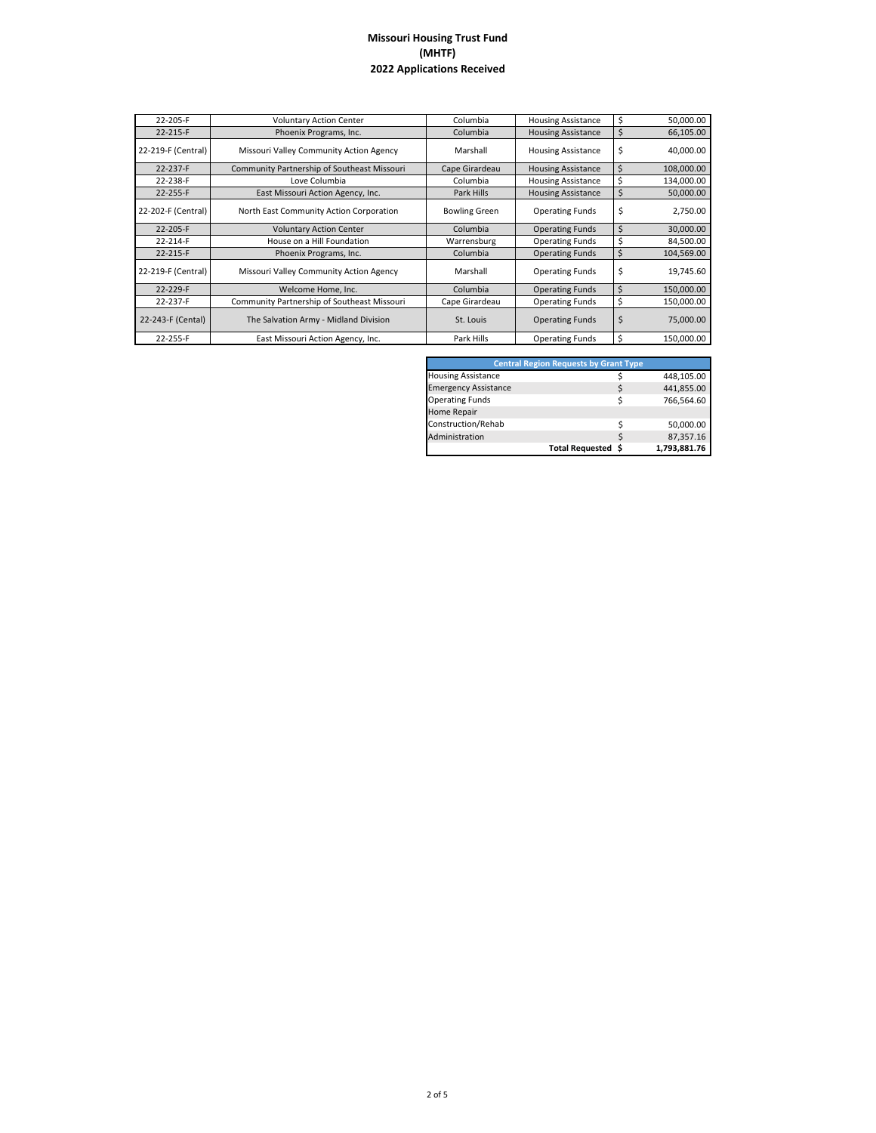| 22-205-F           | <b>Voluntary Action Center</b>              | Columbia             | <b>Housing Assistance</b> | \$ | 50,000.00  |
|--------------------|---------------------------------------------|----------------------|---------------------------|----|------------|
| 22-215-F           | Phoenix Programs, Inc.                      | Columbia             | <b>Housing Assistance</b> | \$ | 66,105.00  |
| 22-219-F (Central) | Missouri Valley Community Action Agency     | Marshall             | <b>Housing Assistance</b> | \$ | 40,000.00  |
| 22-237-F           | Community Partnership of Southeast Missouri | Cape Girardeau       | <b>Housing Assistance</b> | \$ | 108,000.00 |
| 22-238-F           | Love Columbia                               | Columbia             | <b>Housing Assistance</b> | Ś  | 134,000.00 |
| 22-255-F           | East Missouri Action Agency, Inc.           | Park Hills           | <b>Housing Assistance</b> | \$ | 50,000.00  |
| 22-202-F (Central) | North East Community Action Corporation     | <b>Bowling Green</b> | <b>Operating Funds</b>    | \$ | 2,750.00   |
| 22-205-F           | <b>Voluntary Action Center</b>              | Columbia             | <b>Operating Funds</b>    | \$ | 30,000.00  |
| 22-214-F           | House on a Hill Foundation                  | Warrensburg          | <b>Operating Funds</b>    | \$ | 84,500.00  |
| 22-215-F           | Phoenix Programs, Inc.                      | Columbia             | <b>Operating Funds</b>    | \$ | 104,569.00 |
| 22-219-F (Central) | Missouri Valley Community Action Agency     | Marshall             | <b>Operating Funds</b>    | \$ | 19,745.60  |
| 22-229-F           | Welcome Home, Inc.                          | Columbia             | <b>Operating Funds</b>    | \$ | 150,000.00 |
| 22-237-F           | Community Partnership of Southeast Missouri | Cape Girardeau       | <b>Operating Funds</b>    | \$ | 150,000.00 |
| 22-243-F (Cental)  | The Salvation Army - Midland Division       | St. Louis            | <b>Operating Funds</b>    | \$ | 75,000.00  |
| 22-255-F           | East Missouri Action Agency, Inc.           | Park Hills           | <b>Operating Funds</b>    | \$ | 150,000.00 |

| <b>Central Region Requests by Grant Type</b> |   |              |  |  |  |
|----------------------------------------------|---|--------------|--|--|--|
| <b>Housing Assistance</b>                    |   | 448,105.00   |  |  |  |
| <b>Emergency Assistance</b>                  | Ś | 441,855.00   |  |  |  |
| <b>Operating Funds</b>                       |   | 766,564.60   |  |  |  |
| Home Repair                                  |   |              |  |  |  |
| Construction/Rehab                           |   | 50,000.00    |  |  |  |
| Administration                               | ς | 87,357.16    |  |  |  |
| Total Requested \$                           |   | 1,793,881.76 |  |  |  |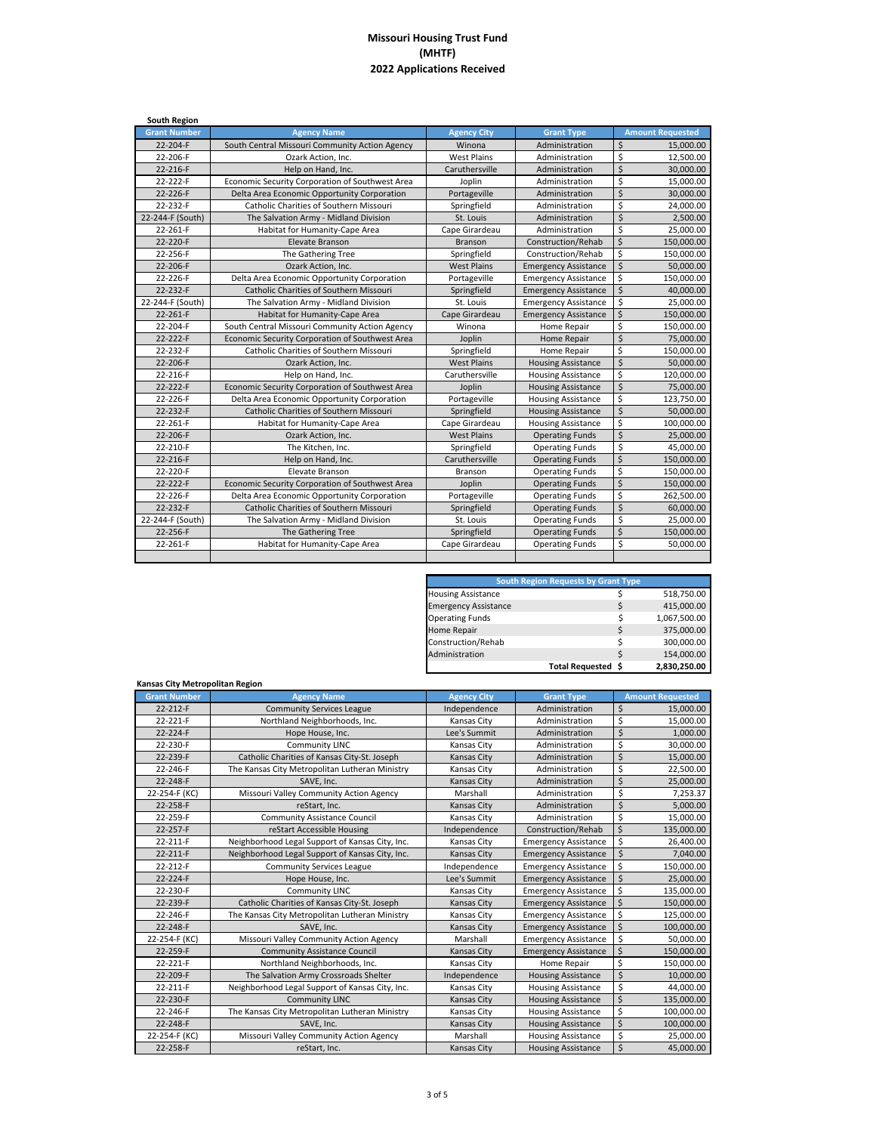| <b>South Region</b> |                                                 |                    |                             |                         |                         |
|---------------------|-------------------------------------------------|--------------------|-----------------------------|-------------------------|-------------------------|
| <b>Grant Number</b> | <b>Agency Name</b>                              | <b>Agency City</b> | <b>Grant Type</b>           |                         | <b>Amount Requested</b> |
| 22-204-F            | South Central Missouri Community Action Agency  | Winona             | Administration              | \$                      | 15,000.00               |
| 22-206-F            | Ozark Action, Inc.                              | <b>West Plains</b> | Administration              | \$                      | 12,500.00               |
| 22-216-F            | Help on Hand, Inc.                              | Caruthersville     | Administration              | $\overline{\mathsf{S}}$ | 30,000.00               |
| 22-222-F            | Economic Security Corporation of Southwest Area | Joplin             | Administration              | \$                      | 15,000.00               |
| 22-226-F            | Delta Area Economic Opportunity Corporation     | Portageville       | Administration              | $\zeta$                 | 30,000.00               |
| 22-232-F            | Catholic Charities of Southern Missouri         | Springfield        | Administration              | \$                      | 24,000.00               |
| 22-244-F (South)    | The Salvation Army - Midland Division           | St. Louis          | Administration              | $\overline{\mathsf{S}}$ | 2,500.00                |
| 22-261-F            | Habitat for Humanity-Cape Area                  | Cape Girardeau     | Administration              | \$                      | 25,000.00               |
| 22-220-F            | Elevate Branson                                 | Branson            | Construction/Rehab          | \$                      | 150,000.00              |
| 22-256-F            | The Gathering Tree                              | Springfield        | Construction/Rehab          | \$                      | 150,000.00              |
| 22-206-F            | Ozark Action, Inc.                              | <b>West Plains</b> | <b>Emergency Assistance</b> | \$                      | 50,000.00               |
| 22-226-F            | Delta Area Economic Opportunity Corporation     | Portageville       | <b>Emergency Assistance</b> | \$                      | 150,000.00              |
| 22-232-F            | <b>Catholic Charities of Southern Missouri</b>  | Springfield        | <b>Emergency Assistance</b> | \$                      | 40,000.00               |
| 22-244-F (South)    | The Salvation Army - Midland Division           | St. Louis          | <b>Emergency Assistance</b> | \$                      | 25,000.00               |
| 22-261-F            | Habitat for Humanity-Cape Area                  | Cape Girardeau     | <b>Emergency Assistance</b> | $\mathsf{\hat{S}}$      | 150,000.00              |
| 22-204-F            | South Central Missouri Community Action Agency  | Winona             | Home Repair                 | Ś                       | 150,000.00              |
| 22-222-F            | Economic Security Corporation of Southwest Area | Joplin             | Home Repair                 | $\mathsf{\hat{S}}$      | 75,000.00               |
| 22-232-F            | Catholic Charities of Southern Missouri         | Springfield        | Home Repair                 | \$                      | 150,000.00              |
| 22-206-F            | Ozark Action, Inc.                              | <b>West Plains</b> | <b>Housing Assistance</b>   | $\overline{\mathsf{S}}$ | 50,000.00               |
| 22-216-F            | Help on Hand, Inc.                              | Caruthersville     | <b>Housing Assistance</b>   | \$                      | 120,000.00              |
| 22-222-F            | Economic Security Corporation of Southwest Area | Joplin             | <b>Housing Assistance</b>   | \$                      | 75,000.00               |
| 22-226-F            | Delta Area Economic Opportunity Corporation     | Portageville       | <b>Housing Assistance</b>   | \$                      | 123,750.00              |
| 22-232-F            | Catholic Charities of Southern Missouri         | Springfield        | <b>Housing Assistance</b>   | \$                      | 50,000.00               |
| 22-261-F            | Habitat for Humanity-Cape Area                  | Cape Girardeau     | <b>Housing Assistance</b>   | \$                      | 100,000.00              |
| 22-206-F            | Ozark Action, Inc.                              | <b>West Plains</b> | <b>Operating Funds</b>      | \$                      | 25,000.00               |
| 22-210-F            | The Kitchen, Inc.                               | Springfield        | <b>Operating Funds</b>      | \$                      | 45,000.00               |
| 22-216-F            | Help on Hand, Inc.                              | Caruthersville     | <b>Operating Funds</b>      | \$                      | 150,000.00              |
| 22-220-F            | Elevate Branson                                 | Branson            | <b>Operating Funds</b>      | \$                      | 150,000.00              |
| 22-222-F            | Economic Security Corporation of Southwest Area | Joplin             | <b>Operating Funds</b>      | \$                      | 150,000.00              |
| 22-226-F            | Delta Area Economic Opportunity Corporation     | Portageville       | <b>Operating Funds</b>      | \$                      | 262,500.00              |
| 22-232-F            | Catholic Charities of Southern Missouri         | Springfield        | <b>Operating Funds</b>      | $\overline{\mathsf{S}}$ | 60,000.00               |
| 22-244-F (South)    | The Salvation Army - Midland Division           | St. Louis          | <b>Operating Funds</b>      | \$                      | 25,000.00               |
| 22-256-F            | The Gathering Tree                              | Springfield        | <b>Operating Funds</b>      | $\overline{\mathsf{S}}$ | 150,000.00              |
| 22-261-F            | Habitat for Humanity-Cape Area                  | Cape Girardeau     | <b>Operating Funds</b>      | \$                      | 50,000.00               |
|                     |                                                 |                    |                             |                         |                         |

| <b>South Region Requests by Grant Type</b> |                    |   |              |  |  |
|--------------------------------------------|--------------------|---|--------------|--|--|
| <b>Housing Assistance</b>                  |                    |   | 518,750.00   |  |  |
| <b>Emergency Assistance</b>                |                    | Ś | 415,000.00   |  |  |
| <b>Operating Funds</b>                     |                    | Ś | 1,067,500.00 |  |  |
| Home Repair                                |                    | S | 375,000.00   |  |  |
| Construction/Rehab                         |                    | ς | 300,000.00   |  |  |
| Administration                             |                    | Ś | 154,000.00   |  |  |
|                                            | Total Requested \$ |   | 2,830,250.00 |  |  |

| Kansas City Metropolitan Region |                                                 |                    |                             |                                  |
|---------------------------------|-------------------------------------------------|--------------------|-----------------------------|----------------------------------|
| <b>Grant Number</b>             | <b>Agency Name</b>                              | <b>Agency City</b> | <b>Grant Type</b>           | <b>Amount Requested</b>          |
| 22-212-F                        | <b>Community Services League</b>                | Independence       | Administration              | \$<br>15,000.00                  |
| 22-221-F                        | Northland Neighborhoods, Inc.                   | <b>Kansas City</b> | Administration              | \$<br>15.000.00                  |
| 22-224-F                        | Hope House, Inc.                                | Lee's Summit       | Administration              | \$<br>1,000.00                   |
| 22-230-F                        | <b>Community LINC</b>                           | Kansas City        | Administration              | \$<br>30,000.00                  |
| 22-239-F                        | Catholic Charities of Kansas City-St. Joseph    | <b>Kansas City</b> | Administration              | \$<br>15,000.00                  |
| 22-246-F                        | The Kansas City Metropolitan Lutheran Ministry  | Kansas City        | Administration              | \$<br>22,500.00                  |
| 22-248-F                        | SAVE, Inc.                                      | <b>Kansas City</b> | Administration              | $\mathsf{\hat{S}}$<br>25,000.00  |
| 22-254-F (KC)                   | Missouri Valley Community Action Agency         | Marshall           | Administration              | \$<br>7,253.37                   |
| 22-258-F                        | reStart. Inc.                                   | <b>Kansas City</b> | Administration              | \$<br>5.000.00                   |
| 22-259-F                        | <b>Community Assistance Council</b>             | Kansas City        | Administration              | \$<br>15,000.00                  |
| 22-257-F                        | reStart Accessible Housing                      | Independence       | Construction/Rehab          | $\mathsf{\hat{S}}$<br>135,000.00 |
| 22-211-F                        | Neighborhood Legal Support of Kansas City, Inc. | Kansas City        | <b>Emergency Assistance</b> | \$<br>26,400.00                  |
| 22-211-F                        | Neighborhood Legal Support of Kansas City, Inc. | <b>Kansas City</b> | <b>Emergency Assistance</b> | \$<br>7,040.00                   |
| 22-212-F                        | <b>Community Services League</b>                | Independence       | <b>Emergency Assistance</b> | \$<br>150,000.00                 |
| 22-224-F                        | Hope House, Inc.                                | Lee's Summit       | <b>Emergency Assistance</b> | $\mathsf{\dot{S}}$<br>25,000.00  |
| 22-230-F                        | <b>Community LINC</b>                           | Kansas City        | <b>Emergency Assistance</b> | \$<br>135,000.00                 |
| 22-239-F                        | Catholic Charities of Kansas City-St. Joseph    | <b>Kansas City</b> | <b>Emergency Assistance</b> | $\zeta$<br>150,000.00            |
| 22-246-F                        | The Kansas City Metropolitan Lutheran Ministry  | <b>Kansas City</b> | <b>Emergency Assistance</b> | \$<br>125.000.00                 |
| 22-248-F                        | SAVE, Inc.                                      | <b>Kansas City</b> | <b>Emergency Assistance</b> | $\zeta$<br>100,000.00            |
| 22-254-F (KC)                   | Missouri Valley Community Action Agency         | Marshall           | <b>Emergency Assistance</b> | \$<br>50,000.00                  |
| 22-259-F                        | <b>Community Assistance Council</b>             | Kansas City        | <b>Emergency Assistance</b> | \$<br>150,000.00                 |
| 22-221-F                        | Northland Neighborhoods, Inc.                   | Kansas City        | Home Repair                 | \$<br>150,000.00                 |
| 22-209-F                        | The Salvation Army Crossroads Shelter           | Independence       | <b>Housing Assistance</b>   | \$<br>10,000.00                  |
| 22-211-F                        | Neighborhood Legal Support of Kansas City, Inc. | Kansas City        | <b>Housing Assistance</b>   | \$<br>44,000.00                  |
| 22-230-F                        | <b>Community LINC</b>                           | <b>Kansas City</b> | <b>Housing Assistance</b>   | Ś<br>135,000.00                  |
| 22-246-F                        | The Kansas City Metropolitan Lutheran Ministry  | Kansas City        | <b>Housing Assistance</b>   | \$<br>100,000.00                 |
| 22-248-F                        | SAVE, Inc.                                      | <b>Kansas City</b> | <b>Housing Assistance</b>   | \$<br>100,000.00                 |
| 22-254-F (KC)                   | Missouri Valley Community Action Agency         | Marshall           | <b>Housing Assistance</b>   | \$<br>25,000.00                  |
| 22-258-F                        | reStart, Inc.                                   | <b>Kansas City</b> | <b>Housing Assistance</b>   | \$<br>45,000.00                  |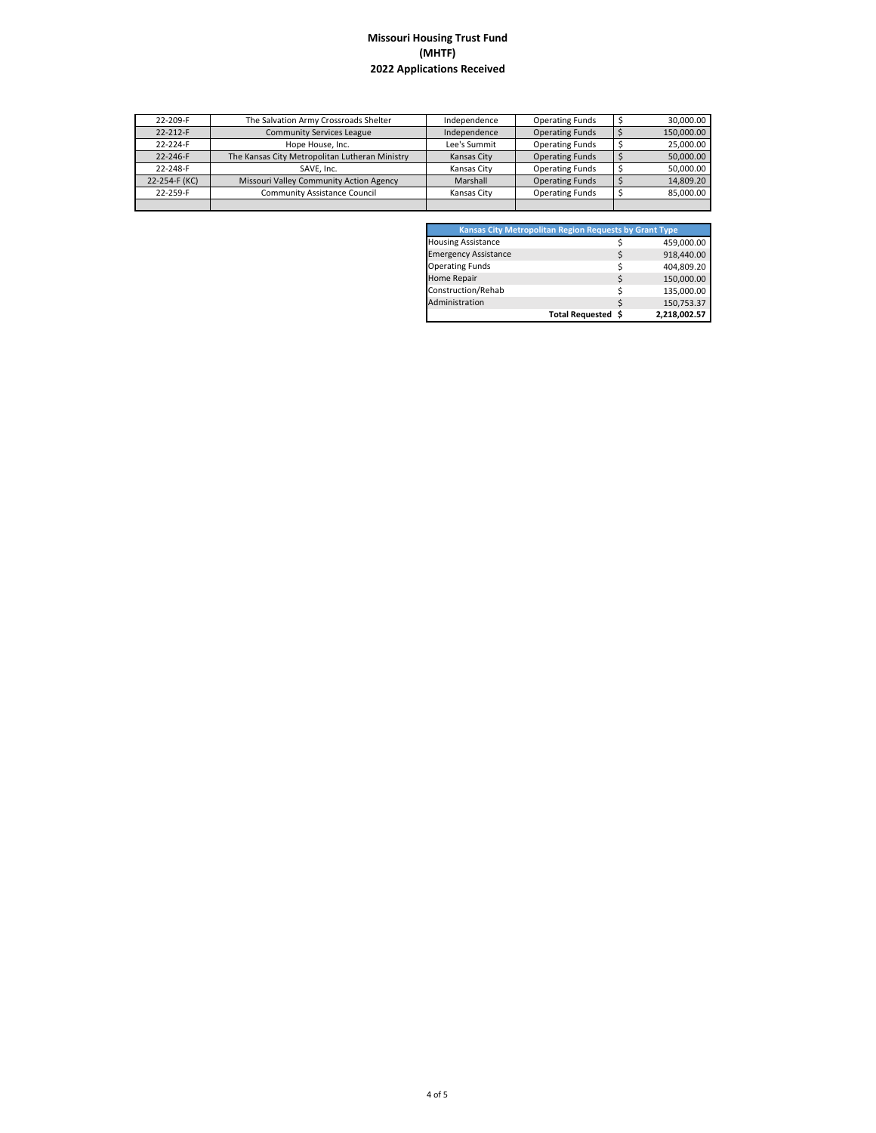| 22-209-F       | The Salvation Army Crossroads Shelter          | Independence | <b>Operating Funds</b> | 30.000.00  |
|----------------|------------------------------------------------|--------------|------------------------|------------|
| $22 - 212 - F$ | <b>Community Services League</b>               | Independence | <b>Operating Funds</b> | 150,000.00 |
| 22-224-F       | Hope House, Inc.                               | Lee's Summit | <b>Operating Funds</b> | 25,000.00  |
| 22-246-F       | The Kansas City Metropolitan Lutheran Ministry | Kansas City  | <b>Operating Funds</b> | 50,000.00  |
| 22-248-F       | SAVE, Inc.                                     | Kansas City  | <b>Operating Funds</b> | 50.000.00  |
| 22-254-F (KC)  | Missouri Valley Community Action Agency        | Marshall     | <b>Operating Funds</b> | 14.809.20  |
| 22-259-F       | <b>Community Assistance Council</b>            | Kansas City  | <b>Operating Funds</b> | 85,000.00  |
|                |                                                |              |                        |            |

| <b>Kansas City Metropolitan Region Requests by Grant Type</b> |                    |              |
|---------------------------------------------------------------|--------------------|--------------|
| <b>Housing Assistance</b>                                     |                    | 459,000.00   |
| <b>Emergency Assistance</b>                                   |                    | 918,440.00   |
| <b>Operating Funds</b>                                        |                    | 404,809.20   |
| Home Repair                                                   |                    | 150,000.00   |
| Construction/Rehab                                            |                    | 135,000.00   |
| Administration                                                |                    | 150,753.37   |
|                                                               | Total Requested \$ | 2,218,002.57 |